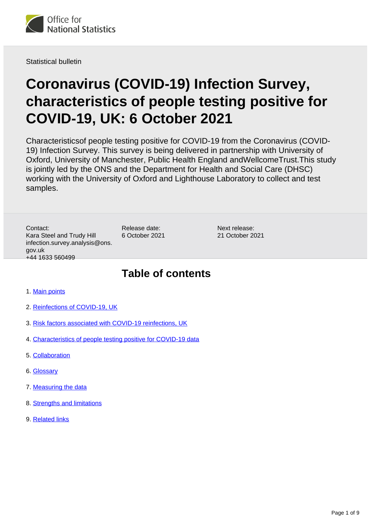

Statistical bulletin

# **Coronavirus (COVID-19) Infection Survey, characteristics of people testing positive for COVID-19, UK: 6 October 2021**

Characteristicsof people testing positive for COVID-19 from the Coronavirus (COVID-19) Infection Survey. This survey is being delivered in partnership with University of Oxford, University of Manchester, Public Health England andWellcomeTrust.This study is jointly led by the ONS and the Department for Health and Social Care (DHSC) working with the University of Oxford and Lighthouse Laboratory to collect and test samples.

Contact: Kara Steel and Trudy Hill infection.survey.analysis@ons. gov.uk +44 1633 560499

Release date: 6 October 2021 Next release: 21 October 2021

## **Table of contents**

- 1. [Main points](#page-1-0)
- 2. [Reinfections of COVID-19, UK](#page-2-0)
- 3. [Risk factors associated with COVID-19 reinfections, UK](#page-4-0)
- 4. [Characteristics of people testing positive for COVID-19 data](#page-6-0)
- 5. [Collaboration](#page-6-1)
- 6. [Glossary](#page-6-2)
- 7. [Measuring the data](#page-7-0)
- 8. [Strengths and limitations](#page-7-1)
- 9. [Related links](#page-8-0)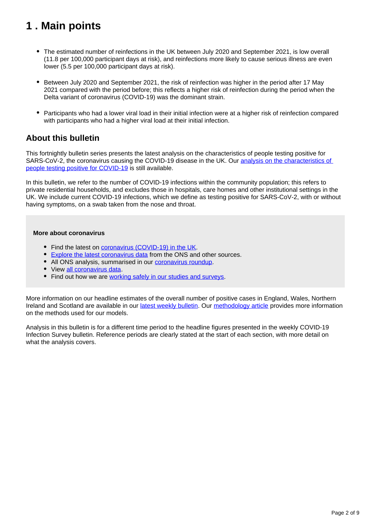## <span id="page-1-0"></span>**1 . Main points**

- The estimated number of reinfections in the UK between July 2020 and September 2021, is low overall (11.8 per 100,000 participant days at risk), and reinfections more likely to cause serious illness are even lower (5.5 per 100,000 participant days at risk).
- Between July 2020 and September 2021, the risk of reinfection was higher in the period after 17 May 2021 compared with the period before; this reflects a higher risk of reinfection during the period when the Delta variant of coronavirus (COVID-19) was the dominant strain.
- Participants who had a lower viral load in their initial infection were at a higher risk of reinfection compared with participants who had a higher viral load at their initial infection.

### **About this bulletin**

This fortnightly bulletin series presents the latest analysis on the characteristics of people testing positive for SARS-CoV-2, the coronavirus causing the COVID-19 disease in the UK. Our [analysis on the characteristics of](https://www.ons.gov.uk/search?q=covidcharacteristics)  [people testing positive for COVID-19](https://www.ons.gov.uk/search?q=covidcharacteristics) is still available.

In this bulletin, we refer to the number of COVID-19 infections within the community population; this refers to private residential households, and excludes those in hospitals, care homes and other institutional settings in the UK. We include current COVID-19 infections, which we define as testing positive for SARS-CoV-2, with or without having symptoms, on a swab taken from the nose and throat.

### **More about coronavirus**

- Find the latest on [coronavirus \(COVID-19\) in the UK.](https://www.ons.gov.uk/peoplepopulationandcommunity/healthandsocialcare/conditionsanddiseases)
- [Explore the latest coronavirus data](https://www.ons.gov.uk/peoplepopulationandcommunity/healthandsocialcare/conditionsanddiseases/articles/coronaviruscovid19/latestinsights) from the ONS and other sources.
- All ONS analysis, summarised in our [coronavirus roundup.](https://www.ons.gov.uk/peoplepopulationandcommunity/healthandsocialcare/conditionsanddiseases/articles/coronaviruscovid19roundup/latest)
- View [all coronavirus data](https://www.ons.gov.uk/peoplepopulationandcommunity/healthandsocialcare/conditionsanddiseases/datalist).
- Find out how we are [working safely in our studies and surveys.](https://www.ons.gov.uk/news/statementsandletters/ensuringyoursafetyduringcovid19)

More information on our headline estimates of the overall number of positive cases in England, Wales, Northern Ireland and Scotland are available in our [latest weekly bulletin.](https://www.ons.gov.uk/peoplepopulationandcommunity/healthandsocialcare/conditionsanddiseases/bulletins/coronaviruscovid19infectionsurveypilot/latest) Our [methodology article](https://www.ons.gov.uk/peoplepopulationandcommunity/healthandsocialcare/conditionsanddiseases/methodologies/covid19infectionsurveypilotmethodsandfurtherinformation#modelling) provides more information on the methods used for our models.

Analysis in this bulletin is for a different time period to the headline figures presented in the weekly COVID-19 Infection Survey bulletin. Reference periods are clearly stated at the start of each section, with more detail on what the analysis covers.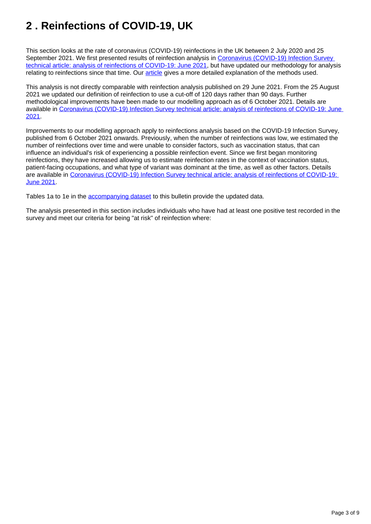## <span id="page-2-0"></span>**2 . Reinfections of COVID-19, UK**

This section looks at the rate of coronavirus (COVID-19) reinfections in the UK between 2 July 2020 and 25 September 2021. We first presented results of reinfection analysis in Coronavirus (COVID-19) Infection Survey [technical article: analysis of reinfections of COVID-19: June 2021](https://www.ons.gov.uk/peoplepopulationandcommunity/healthandsocialcare/conditionsanddiseases/articles/coronaviruscovid19infectionsurveytechnicalarticleanalysisofreinfectionsofcovid19/june2021), but have updated our methodology for analysis relating to reinfections since that time. Our [article](https://www.ons.gov.uk/peoplepopulationandcommunity/healthandsocialcare/conditionsanddiseases/articles/coronaviruscovid19infectionsurveytechnicalarticleanalysisofreinfectionsofcovid19/june2021) gives a more detailed explanation of the methods used.

This analysis is not directly comparable with reinfection analysis published on 29 June 2021. From the 25 August 2021 we updated our definition of reinfection to use a cut-off of 120 days rather than 90 days. Further methodological improvements have been made to our modelling approach as of 6 October 2021. Details are available in [Coronavirus \(COVID-19\) Infection Survey technical article: analysis of reinfections of COVID-19: June](https://www.ons.gov.uk/peoplepopulationandcommunity/healthandsocialcare/conditionsanddiseases/articles/coronaviruscovid19infectionsurveytechnicalarticleanalysisofreinfectionsofcovid19/june2021)  [2021](https://www.ons.gov.uk/peoplepopulationandcommunity/healthandsocialcare/conditionsanddiseases/articles/coronaviruscovid19infectionsurveytechnicalarticleanalysisofreinfectionsofcovid19/june2021).

Improvements to our modelling approach apply to reinfections analysis based on the COVID-19 Infection Survey, published from 6 October 2021 onwards. Previously, when the number of reinfections was low, we estimated the number of reinfections over time and were unable to consider factors, such as vaccination status, that can influence an individual's risk of experiencing a possible reinfection event. Since we first began monitoring reinfections, they have increased allowing us to estimate reinfection rates in the context of vaccination status, patient-facing occupations, and what type of variant was dominant at the time, as well as other factors. Details are available in [Coronavirus \(COVID-19\) Infection Survey technical article: analysis of reinfections of COVID-19:](https://www.ons.gov.uk/peoplepopulationandcommunity/healthandsocialcare/conditionsanddiseases/articles/coronaviruscovid19infectionsurveytechnicalarticleanalysisofreinfectionsofcovid19/june2021)  [June 2021](https://www.ons.gov.uk/peoplepopulationandcommunity/healthandsocialcare/conditionsanddiseases/articles/coronaviruscovid19infectionsurveytechnicalarticleanalysisofreinfectionsofcovid19/june2021).

Tables 1a to 1e in the [accompanying dataset](https://www.ons.gov.uk/peoplepopulationandcommunity/healthandsocialcare/conditionsanddiseases/datasets/coronaviruscovid19infectionsinthecommunityinengland) to this bulletin provide the updated data.

The analysis presented in this section includes individuals who have had at least one positive test recorded in the survey and meet our criteria for being "at risk" of reinfection where: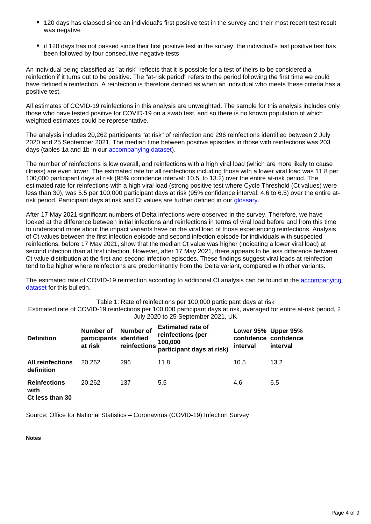- 120 days has elapsed since an individual's first positive test in the survey and their most recent test result was negative
- if 120 days has not passed since their first positive test in the survey, the individual's last positive test has been followed by four consecutive negative tests

An individual being classified as "at risk" reflects that it is possible for a test of theirs to be considered a reinfection if it turns out to be positive. The "at-risk period" refers to the period following the first time we could have defined a reinfection. A reinfection is therefore defined as when an individual who meets these criteria has a positive test.

All estimates of COVID-19 reinfections in this analysis are unweighted. The sample for this analysis includes only those who have tested positive for COVID-19 on a swab test, and so there is no known population of which weighted estimates could be representative.

The analysis includes 20,262 participants "at risk" of reinfection and 296 reinfections identified between 2 July 2020 and 25 September 2021. The median time between positive episodes in those with reinfections was 203 days (tables 1a and 1b in our [accompanying dataset\)](https://www.ons.gov.uk/peoplepopulationandcommunity/healthandsocialcare/conditionsanddiseases/datasets/coronaviruscovid19infectionsinthecommunityinengland).

The number of reinfections is low overall, and reinfections with a high viral load (which are more likely to cause illness) are even lower. The estimated rate for all reinfections including those with a lower viral load was 11.8 per 100,000 participant days at risk (95% confidence interval: 10.5. to 13.2) over the entire at-risk period. The estimated rate for reinfections with a high viral load (strong positive test where Cycle Threshold (Ct values) were less than 30), was 5.5 per 100,000 participant days at risk (95% confidence interval: 4.6 to 6.5) over the entire atrisk period. Participant days at risk and Ct values are further defined in our [glossary.](https://www.ons.gov.uk/peoplepopulationandcommunity/healthandsocialcare/conditionsanddiseases/bulletins/coronaviruscovid19infectionsurveycharacteristicsofpeopletestingpositiveforcovid19uk/6october2021#glossary)

After 17 May 2021 significant numbers of Delta infections were observed in the survey. Therefore, we have looked at the difference between initial infections and reinfections in terms of viral load before and from this time to understand more about the impact variants have on the viral load of those experiencing reinfections. Analysis of Ct values between the first infection episode and second infection episode for individuals with suspected reinfections, before 17 May 2021, show that the median Ct value was higher (indicating a lower viral load) at second infection than at first infection. However, after 17 May 2021, there appears to be less difference between Ct value distribution at the first and second infection episodes. These findings suggest viral loads at reinfection tend to be higher where reinfections are predominantly from the Delta variant, compared with other variants.

The estimated rate of COVID-19 reinfection according to additional Ct analysis can be found in the [accompanying](https://www.ons.gov.uk/peoplepopulationandcommunity/healthandsocialcare/conditionsanddiseases/datasets/coronaviruscovid19infectionsinthecommunityinengland)  [dataset](https://www.ons.gov.uk/peoplepopulationandcommunity/healthandsocialcare/conditionsanddiseases/datasets/coronaviruscovid19infectionsinthecommunityinengland) for this bulletin.

Table 1: Rate of reinfections per 100,000 participant days at risk

Estimated rate of COVID-19 reinfections per 100,000 participant days at risk, averaged for entire at-risk period, 2 July 2020 to 25 September 2021, UK

| <b>Definition</b>                              | Number of<br>participants identified<br>at risk | Number of<br>reinfections | <b>Estimated rate of</b><br>reinfections (per<br>100,000<br>participant days at risk) | Lower 95% Upper 95%<br>interval | confidence confidence<br>interval |
|------------------------------------------------|-------------------------------------------------|---------------------------|---------------------------------------------------------------------------------------|---------------------------------|-----------------------------------|
| <b>All reinfections</b><br>definition          | 20.262                                          | 296                       | 11.8                                                                                  | 10.5                            | 13.2                              |
| <b>Reinfections</b><br>with<br>Ct less than 30 | 20.262                                          | 137                       | 5.5                                                                                   | 4.6                             | 6.5                               |

Source: Office for National Statistics – Coronavirus (COVID-19) Infection Survey

**Notes**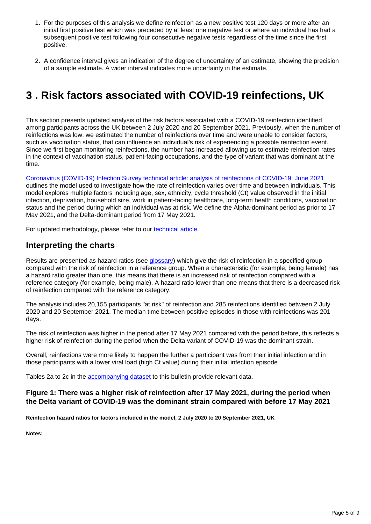- 1. For the purposes of this analysis we define reinfection as a new positive test 120 days or more after an initial first positive test which was preceded by at least one negative test or where an individual has had a subsequent positive test following four consecutive negative tests regardless of the time since the first positive.
- 2. A confidence interval gives an indication of the degree of uncertainty of an estimate, showing the precision of a sample estimate. A wider interval indicates more uncertainty in the estimate.

## <span id="page-4-0"></span>**3 . Risk factors associated with COVID-19 reinfections, UK**

This section presents updated analysis of the risk factors associated with a COVID-19 reinfection identified among participants across the UK between 2 July 2020 and 20 September 2021. Previously, when the number of reinfections was low, we estimated the number of reinfections over time and were unable to consider factors, such as vaccination status, that can influence an individual's risk of experiencing a possible reinfection event. Since we first began monitoring reinfections, the number has increased allowing us to estimate reinfection rates in the context of vaccination status, patient-facing occupations, and the type of variant that was dominant at the time.

[Coronavirus \(COVID-19\) Infection Survey technical article: analysis of reinfections of COVID-19: June 2021](https://www.ons.gov.uk/peoplepopulationandcommunity/healthandsocialcare/conditionsanddiseases/articles/coronaviruscovid19infectionsurveytechnicalarticleanalysisofreinfectionsofcovid19/june2021) outlines the model used to investigate how the rate of reinfection varies over time and between individuals. This model explores multiple factors including age, sex, ethnicity, cycle threshold (Ct) value observed in the initial infection, deprivation, household size, work in patient-facing healthcare, long-term health conditions, vaccination status and the period during which an individual was at risk. We define the Alpha-dominant period as prior to 17 May 2021, and the Delta-dominant period from 17 May 2021.

For updated methodology, please refer to our [technical article.](https://www.ons.gov.uk/peoplepopulationandcommunity/healthandsocialcare/conditionsanddiseases/articles/coronaviruscovid19infectionsurveytechnicalarticleanalysisofreinfectionsofcovid19/june2021)

### **Interpreting the charts**

Results are presented as hazard ratios (see [glossary\)](https://www.ons.gov.uk/peoplepopulationandcommunity/healthandsocialcare/conditionsanddiseases/bulletins/coronaviruscovid19infectionsurveycharacteristicsofpeopletestingpositiveforcovid19uk/6october2021#glossary) which give the risk of reinfection in a specified group compared with the risk of reinfection in a reference group. When a characteristic (for example, being female) has a hazard ratio greater than one, this means that there is an increased risk of reinfection compared with a reference category (for example, being male). A hazard ratio lower than one means that there is a decreased risk of reinfection compared with the reference category.

The analysis includes 20,155 participants "at risk" of reinfection and 285 reinfections identified between 2 July 2020 and 20 September 2021. The median time between positive episodes in those with reinfections was 201 days.

The risk of reinfection was higher in the period after 17 May 2021 compared with the period before, this reflects a higher risk of reinfection during the period when the Delta variant of COVID-19 was the dominant strain.

Overall, reinfections were more likely to happen the further a participant was from their initial infection and in those participants with a lower viral load (high Ct value) during their initial infection episode.

Tables 2a to 2c in the **[accompanying dataset](https://www.ons.gov.uk/peoplepopulationandcommunity/healthandsocialcare/conditionsanddiseases/datasets/coronaviruscovid19infectionsinthecommunityinengland)** to this bulletin provide relevant data.

### **Figure 1: There was a higher risk of reinfection after 17 May 2021, during the period when the Delta variant of COVID-19 was the dominant strain compared with before 17 May 2021**

**Reinfection hazard ratios for factors included in the model, 2 July 2020 to 20 September 2021, UK**

**Notes:**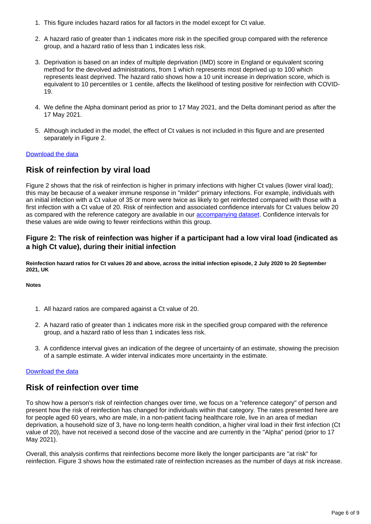- 1. This figure includes hazard ratios for all factors in the model except for Ct value.
- 2. A hazard ratio of greater than 1 indicates more risk in the specified group compared with the reference group, and a hazard ratio of less than 1 indicates less risk.
- 3. Deprivation is based on an index of multiple deprivation (IMD) score in England or equivalent scoring method for the devolved administrations, from 1 which represents most deprived up to 100 which represents least deprived. The hazard ratio shows how a 10 unit increase in deprivation score, which is equivalent to 10 percentiles or 1 centile, affects the likelihood of testing positive for reinfection with COVID-19.
- 4. We define the Alpha dominant period as prior to 17 May 2021, and the Delta dominant period as after the 17 May 2021.
- 5. Although included in the model, the effect of Ct values is not included in this figure and are presented separately in Figure 2.

### [Download the data](https://www.ons.gov.uk/visualisations/dvc1604/fig1/datadownload.xlsx)

### **Risk of reinfection by viral load**

Figure 2 shows that the risk of reinfection is higher in primary infections with higher Ct values (lower viral load); this may be because of a weaker immune response in "milder" primary infections. For example, individuals with an initial infection with a Ct value of 35 or more were twice as likely to get reinfected compared with those with a first infection with a Ct value of 20. Risk of reinfection and associated confidence intervals for Ct values below 20 as compared with the reference category are available in our [accompanying dataset](https://www.ons.gov.uk/peoplepopulationandcommunity/healthandsocialcare/conditionsanddiseases/datasets/coronaviruscovid19infectionsinthecommunityinengland). Confidence intervals for these values are wide owing to fewer reinfections within this group.

### **Figure 2: The risk of reinfection was higher if a participant had a low viral load (indicated as a high Ct value), during their initial infection**

**Reinfection hazard ratios for Ct values 20 and above, across the initial infection episode, 2 July 2020 to 20 September 2021, UK**

**Notes**

- 1. All hazard ratios are compared against a Ct value of 20.
- 2. A hazard ratio of greater than 1 indicates more risk in the specified group compared with the reference group, and a hazard ratio of less than 1 indicates less risk.
- 3. A confidence interval gives an indication of the degree of uncertainty of an estimate, showing the precision of a sample estimate. A wider interval indicates more uncertainty in the estimate.

#### [Download the data](https://www.ons.gov.uk/visualisations/dvc1604/fig2/datadownload.xlsx)

### **Risk of reinfection over time**

To show how a person's risk of reinfection changes over time, we focus on a "reference category" of person and present how the risk of reinfection has changed for individuals within that category. The rates presented here are for people aged 60 years, who are male, in a non-patient facing healthcare role, live in an area of median deprivation, a household size of 3, have no long-term health condition, a higher viral load in their first infection (Ct value of 20), have not received a second dose of the vaccine and are currently in the "Alpha" period (prior to 17 May 2021).

Overall, this analysis confirms that reinfections become more likely the longer participants are "at risk" for reinfection. Figure 3 shows how the estimated rate of reinfection increases as the number of days at risk increase.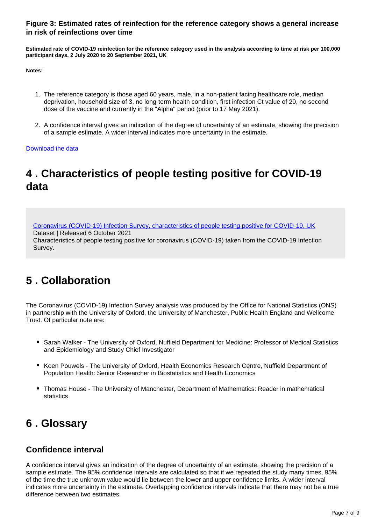### **Figure 3: Estimated rates of reinfection for the reference category shows a general increase in risk of reinfections over time**

**Estimated rate of COVID-19 reinfection for the reference category used in the analysis according to time at risk per 100,000 participant days, 2 July 2020 to 20 September 2021, UK**

**Notes:**

- 1. The reference category is those aged 60 years, male, in a non-patient facing healthcare role, median deprivation, household size of 3, no long-term health condition, first infection Ct value of 20, no second dose of the vaccine and currently in the "Alpha" period (prior to 17 May 2021).
- 2. A confidence interval gives an indication of the degree of uncertainty of an estimate, showing the precision of a sample estimate. A wider interval indicates more uncertainty in the estimate.

[Download the data](https://www.ons.gov.uk/visualisations/dvc1604/fig3/datadownload.xlsx)

## <span id="page-6-0"></span>**4 . Characteristics of people testing positive for COVID-19 data**

[Coronavirus \(COVID-19\) Infection Survey, characteristics of people testing positive for COVID-19, UK](https://www.ons.gov.uk/peoplepopulationandcommunity/healthandsocialcare/conditionsanddiseases/datasets/coronaviruscovid19infectionsinthecommunityinengland)

Dataset | Released 6 October 2021

Characteristics of people testing positive for coronavirus (COVID-19) taken from the COVID-19 Infection Survey.

## <span id="page-6-1"></span>**5 . Collaboration**

The Coronavirus (COVID-19) Infection Survey analysis was produced by the Office for National Statistics (ONS) in partnership with the University of Oxford, the University of Manchester, Public Health England and Wellcome Trust. Of particular note are:

- Sarah Walker The University of Oxford, Nuffield Department for Medicine: Professor of Medical Statistics and Epidemiology and Study Chief Investigator
- Koen Pouwels The University of Oxford, Health Economics Research Centre, Nuffield Department of Population Health: Senior Researcher in Biostatistics and Health Economics
- Thomas House The University of Manchester, Department of Mathematics: Reader in mathematical statistics

## <span id="page-6-2"></span>**6 . Glossary**

### **Confidence interval**

A confidence interval gives an indication of the degree of uncertainty of an estimate, showing the precision of a sample estimate. The 95% confidence intervals are calculated so that if we repeated the study many times, 95% of the time the true unknown value would lie between the lower and upper confidence limits. A wider interval indicates more uncertainty in the estimate. Overlapping confidence intervals indicate that there may not be a true difference between two estimates.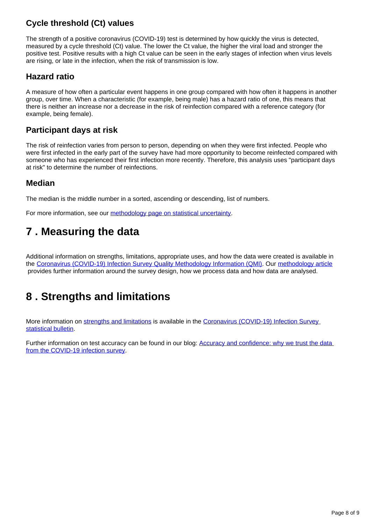### **Cycle threshold (Ct) values**

The strength of a positive coronavirus (COVID-19) test is determined by how quickly the virus is detected, measured by a cycle threshold (Ct) value. The lower the Ct value, the higher the viral load and stronger the positive test. Positive results with a high Ct value can be seen in the early stages of infection when virus levels are rising, or late in the infection, when the risk of transmission is low.

### **Hazard ratio**

A measure of how often a particular event happens in one group compared with how often it happens in another group, over time. When a characteristic (for example, being male) has a hazard ratio of one, this means that there is neither an increase nor a decrease in the risk of reinfection compared with a reference category (for example, being female).

### **Participant days at risk**

The risk of reinfection varies from person to person, depending on when they were first infected. People who were first infected in the early part of the survey have had more opportunity to become reinfected compared with someone who has experienced their first infection more recently. Therefore, this analysis uses "participant days at risk" to determine the number of reinfections.

### **Median**

The median is the middle number in a sorted, ascending or descending, list of numbers.

For more information, see our [methodology page on statistical uncertainty.](https://www.ons.gov.uk/methodology/methodologytopicsandstatisticalconcepts/uncertaintyandhowwemeasureit)

## <span id="page-7-0"></span>**7 . Measuring the data**

Additional information on strengths, limitations, appropriate uses, and how the data were created is available in the [Coronavirus \(COVID-19\) Infection Survey Quality Methodology Information \(QMI\).](https://www.ons.gov.uk/peoplepopulationandcommunity/healthandsocialcare/conditionsanddiseases/methodologies/coronaviruscovid19infectionsurveyqmi) Our [methodology article](https://www.ons.gov.uk/peoplepopulationandcommunity/healthandsocialcare/conditionsanddiseases/methodologies/covid19infectionsurveypilotmethodsandfurtherinformation) provides further information around the survey design, how we process data and how data are analysed.

## <span id="page-7-1"></span>**8 . Strengths and limitations**

More information on [strengths and limitations](https://www.ons.gov.uk/peoplepopulationandcommunity/healthandsocialcare/conditionsanddiseases/bulletins/coronaviruscovid19infectionsurveypilot/latest#strengths-and-limitations) is available in the [Coronavirus \(COVID-19\) Infection Survey](https://www.ons.gov.uk/peoplepopulationandcommunity/healthandsocialcare/conditionsanddiseases/bulletins/coronaviruscovid19infectionsurveypilot/latest)  [statistical bulletin](https://www.ons.gov.uk/peoplepopulationandcommunity/healthandsocialcare/conditionsanddiseases/bulletins/coronaviruscovid19infectionsurveypilot/latest).

Further information on test accuracy can be found in our blog: **Accuracy and confidence: why we trust the data** [from the COVID-19 infection survey.](https://blog.ons.gov.uk/2021/04/09/accuracy-and-confidence-why-we-trust-the-data-from-the-covid-19-infection-survey/)